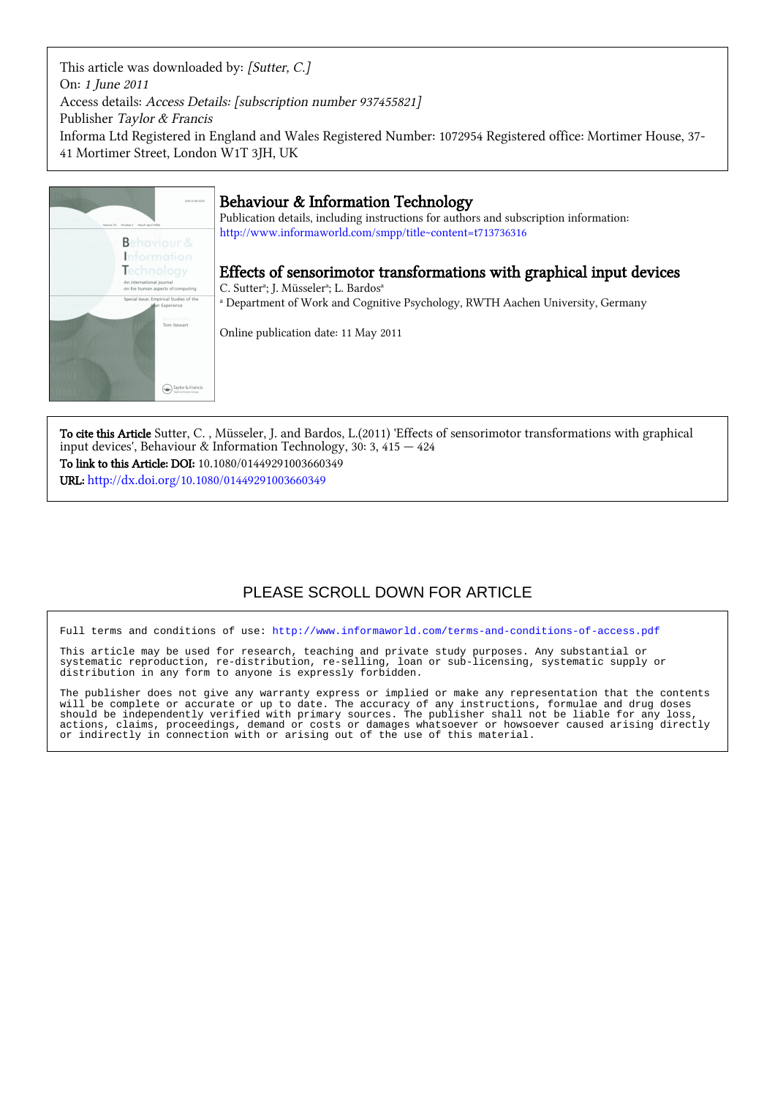This article was downloaded by: [Sutter, C.] On: 1 June 2011 Access details: Access Details: [subscription number 937455821] Publisher Taylor & Francis Informa Ltd Registered in England and Wales Registered Number: 1072954 Registered office: Mortimer House, 37- 41 Mortimer Street, London W1T 3JH, UK



To cite this Article Sutter, C. , Müsseler, J. and Bardos, L.(2011) 'Effects of sensorimotor transformations with graphical input devices', Behaviour & Information Technology, 30: 3, 415 — 424 To link to this Article: DOI: 10.1080/01449291003660349 URL: <http://dx.doi.org/10.1080/01449291003660349>

# PLEASE SCROLL DOWN FOR ARTICLE

Full terms and conditions of use:<http://www.informaworld.com/terms-and-conditions-of-access.pdf>

This article may be used for research, teaching and private study purposes. Any substantial or systematic reproduction, re-distribution, re-selling, loan or sub-licensing, systematic supply or distribution in any form to anyone is expressly forbidden.

The publisher does not give any warranty express or implied or make any representation that the contents will be complete or accurate or up to date. The accuracy of any instructions, formulae and drug doses should be independently verified with primary sources. The publisher shall not be liable for any loss, actions, claims, proceedings, demand or costs or damages whatsoever or howsoever caused arising directly or indirectly in connection with or arising out of the use of this material.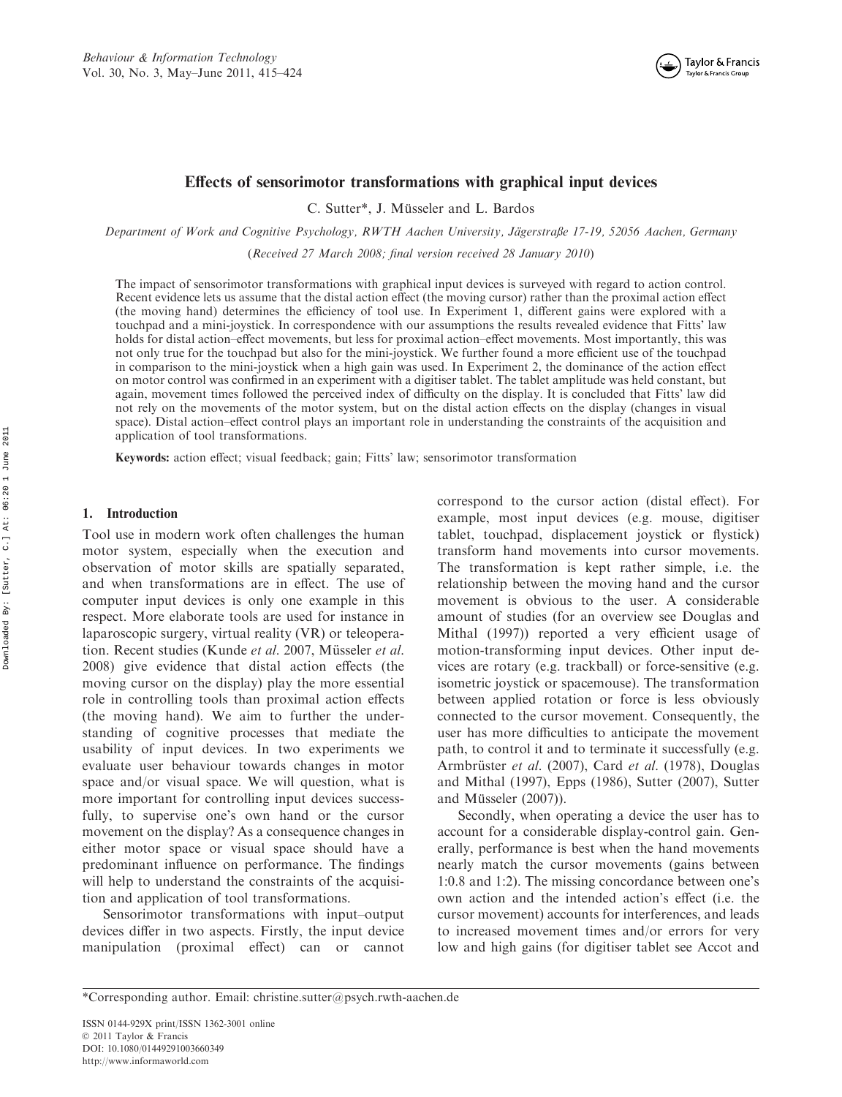

# Effects of sensorimotor transformations with graphical input devices

C. Sutter\*, J. Müsseler and L. Bardos

Department of Work and Cognitive Psychology, RWTH Aachen University, Jägerstraße 17-19, 52056 Aachen, Germany

(Received 27 March 2008; final version received 28 January 2010)

The impact of sensorimotor transformations with graphical input devices is surveyed with regard to action control. Recent evidence lets us assume that the distal action effect (the moving cursor) rather than the proximal action effect (the moving hand) determines the efficiency of tool use. In Experiment 1, different gains were explored with a touchpad and a mini-joystick. In correspondence with our assumptions the results revealed evidence that Fitts' law holds for distal action–effect movements, but less for proximal action–effect movements. Most importantly, this was not only true for the touchpad but also for the mini-joystick. We further found a more efficient use of the touchpad in comparison to the mini-joystick when a high gain was used. In Experiment 2, the dominance of the action effect on motor control was confirmed in an experiment with a digitiser tablet. The tablet amplitude was held constant, but again, movement times followed the perceived index of difficulty on the display. It is concluded that Fitts' law did not rely on the movements of the motor system, but on the distal action effects on the display (changes in visual space). Distal action–effect control plays an important role in understanding the constraints of the acquisition and application of tool transformations.

Keywords: action effect; visual feedback; gain; Fitts' law; sensorimotor transformation

## 1. Introduction

Tool use in modern work often challenges the human motor system, especially when the execution and observation of motor skills are spatially separated, and when transformations are in effect. The use of computer input devices is only one example in this respect. More elaborate tools are used for instance in laparoscopic surgery, virtual reality (VR) or teleoperation. Recent studies (Kunde *et al.* 2007, Müsseler *et al.* 2008) give evidence that distal action effects (the moving cursor on the display) play the more essential role in controlling tools than proximal action effects (the moving hand). We aim to further the understanding of cognitive processes that mediate the usability of input devices. In two experiments we evaluate user behaviour towards changes in motor space and/or visual space. We will question, what is more important for controlling input devices successfully, to supervise one's own hand or the cursor movement on the display? As a consequence changes in either motor space or visual space should have a predominant influence on performance. The findings will help to understand the constraints of the acquisition and application of tool transformations.

Sensorimotor transformations with input–output devices differ in two aspects. Firstly, the input device manipulation (proximal effect) can or cannot correspond to the cursor action (distal effect). For example, most input devices (e.g. mouse, digitiser tablet, touchpad, displacement joystick or flystick) transform hand movements into cursor movements. The transformation is kept rather simple, i.e. the relationship between the moving hand and the cursor movement is obvious to the user. A considerable amount of studies (for an overview see Douglas and Mithal (1997)) reported a very efficient usage of motion-transforming input devices. Other input devices are rotary (e.g. trackball) or force-sensitive (e.g. isometric joystick or spacemouse). The transformation between applied rotation or force is less obviously connected to the cursor movement. Consequently, the user has more difficulties to anticipate the movement path, to control it and to terminate it successfully (e.g. Armbrüster *et al.* (2007), Card *et al.* (1978), Douglas and Mithal (1997), Epps (1986), Sutter (2007), Sutter and Müsseler (2007)).

Secondly, when operating a device the user has to account for a considerable display-control gain. Generally, performance is best when the hand movements nearly match the cursor movements (gains between 1:0.8 and 1:2). The missing concordance between one's own action and the intended action's effect (i.e. the cursor movement) accounts for interferences, and leads to increased movement times and/or errors for very low and high gains (for digitiser tablet see Accot and

<sup>\*</sup>Corresponding author. Email: christine.sutter@psych.rwth-aachen.de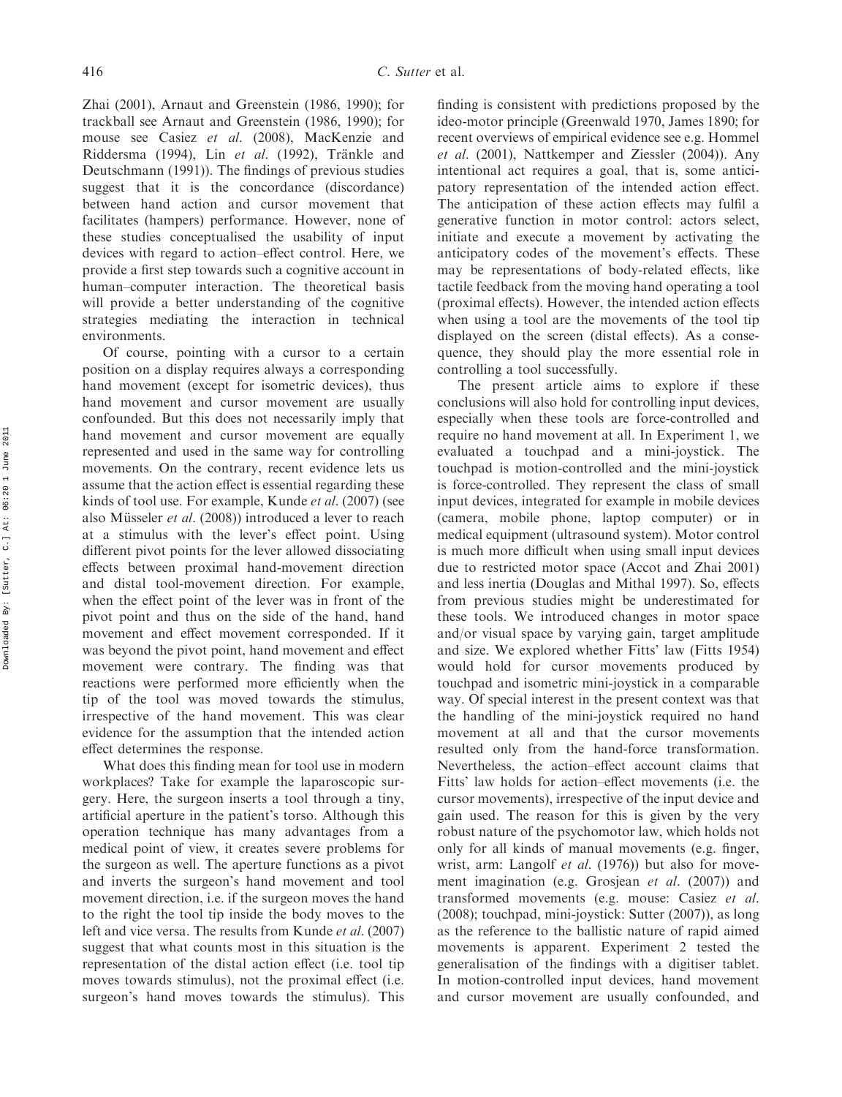Zhai (2001), Arnaut and Greenstein (1986, 1990); for trackball see Arnaut and Greenstein (1986, 1990); for mouse see Casiez et al. (2008), MacKenzie and Riddersma (1994), Lin et al. (1992), Tränkle and Deutschmann (1991)). The findings of previous studies suggest that it is the concordance (discordance) between hand action and cursor movement that facilitates (hampers) performance. However, none of these studies conceptualised the usability of input devices with regard to action–effect control. Here, we provide a first step towards such a cognitive account in human–computer interaction. The theoretical basis will provide a better understanding of the cognitive strategies mediating the interaction in technical environments.

Of course, pointing with a cursor to a certain position on a display requires always a corresponding hand movement (except for isometric devices), thus hand movement and cursor movement are usually confounded. But this does not necessarily imply that hand movement and cursor movement are equally represented and used in the same way for controlling movements. On the contrary, recent evidence lets us assume that the action effect is essential regarding these kinds of tool use. For example, Kunde et al. (2007) (see also Müsseler *et al.* (2008)) introduced a lever to reach at a stimulus with the lever's effect point. Using different pivot points for the lever allowed dissociating effects between proximal hand-movement direction and distal tool-movement direction. For example, when the effect point of the lever was in front of the pivot point and thus on the side of the hand, hand movement and effect movement corresponded. If it was beyond the pivot point, hand movement and effect movement were contrary. The finding was that reactions were performed more efficiently when the tip of the tool was moved towards the stimulus, irrespective of the hand movement. This was clear evidence for the assumption that the intended action effect determines the response.

What does this finding mean for tool use in modern workplaces? Take for example the laparoscopic surgery. Here, the surgeon inserts a tool through a tiny, artificial aperture in the patient's torso. Although this operation technique has many advantages from a medical point of view, it creates severe problems for the surgeon as well. The aperture functions as a pivot and inverts the surgeon's hand movement and tool movement direction, i.e. if the surgeon moves the hand to the right the tool tip inside the body moves to the left and vice versa. The results from Kunde et al. (2007) suggest that what counts most in this situation is the representation of the distal action effect (i.e. tool tip moves towards stimulus), not the proximal effect (i.e. surgeon's hand moves towards the stimulus). This

finding is consistent with predictions proposed by the ideo-motor principle (Greenwald 1970, James 1890; for recent overviews of empirical evidence see e.g. Hommel et al. (2001), Nattkemper and Ziessler (2004)). Any intentional act requires a goal, that is, some anticipatory representation of the intended action effect. The anticipation of these action effects may fulfil a generative function in motor control: actors select, initiate and execute a movement by activating the anticipatory codes of the movement's effects. These may be representations of body-related effects, like tactile feedback from the moving hand operating a tool (proximal effects). However, the intended action effects when using a tool are the movements of the tool tip displayed on the screen (distal effects). As a consequence, they should play the more essential role in controlling a tool successfully.

The present article aims to explore if these conclusions will also hold for controlling input devices, especially when these tools are force-controlled and require no hand movement at all. In Experiment 1, we evaluated a touchpad and a mini-joystick. The touchpad is motion-controlled and the mini-joystick is force-controlled. They represent the class of small input devices, integrated for example in mobile devices (camera, mobile phone, laptop computer) or in medical equipment (ultrasound system). Motor control is much more difficult when using small input devices due to restricted motor space (Accot and Zhai 2001) and less inertia (Douglas and Mithal 1997). So, effects from previous studies might be underestimated for these tools. We introduced changes in motor space and/or visual space by varying gain, target amplitude and size. We explored whether Fitts' law (Fitts 1954) would hold for cursor movements produced by touchpad and isometric mini-joystick in a comparable way. Of special interest in the present context was that the handling of the mini-joystick required no hand movement at all and that the cursor movements resulted only from the hand-force transformation. Nevertheless, the action–effect account claims that Fitts' law holds for action–effect movements (i.e. the cursor movements), irrespective of the input device and gain used. The reason for this is given by the very robust nature of the psychomotor law, which holds not only for all kinds of manual movements (e.g. finger, wrist, arm: Langolf *et al.* (1976)) but also for movement imagination (e.g. Grosjean et al. (2007)) and transformed movements (e.g. mouse: Casiez et al. (2008); touchpad, mini-joystick: Sutter (2007)), as long as the reference to the ballistic nature of rapid aimed movements is apparent. Experiment 2 tested the generalisation of the findings with a digitiser tablet. In motion-controlled input devices, hand movement and cursor movement are usually confounded, and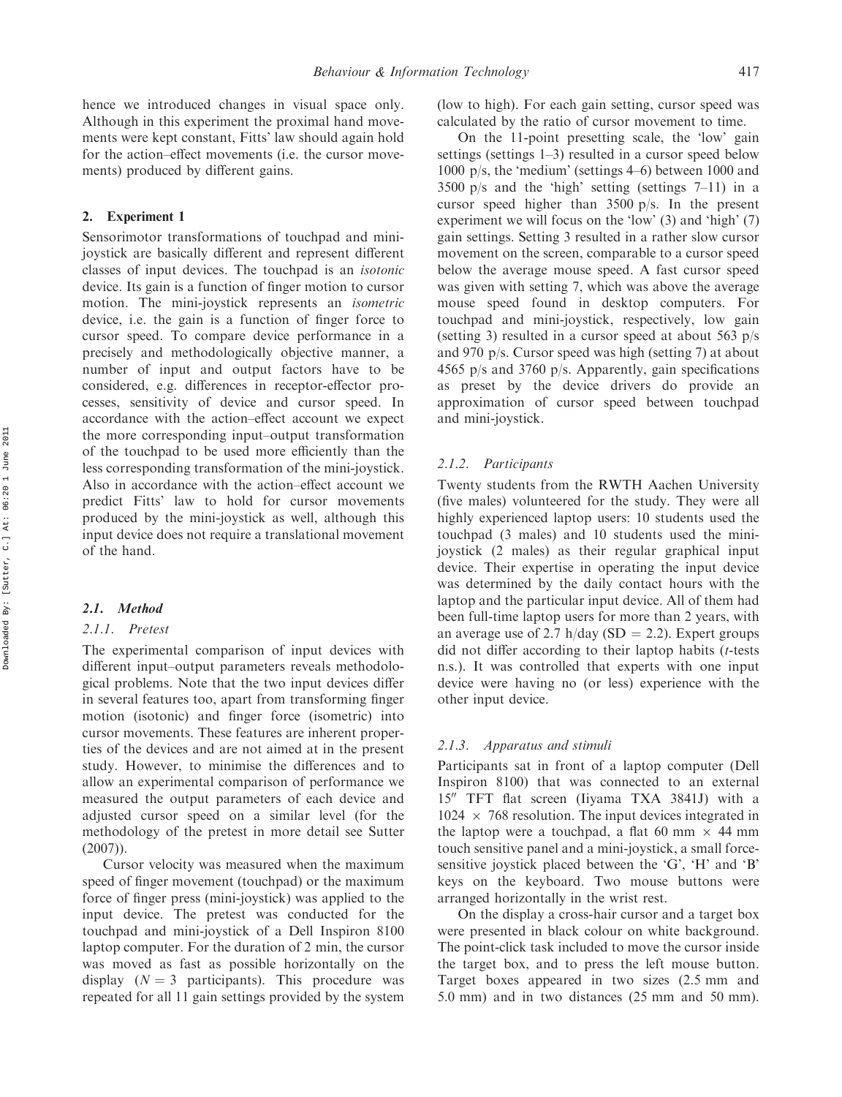hence we introduced changes in visual space only. Although in this experiment the proximal hand movements were kept constant, Fitts' law should again hold for the action–effect movements (i.e. the cursor movements) produced by different gains.

## 2. Experiment 1

Sensorimotor transformations of touchpad and minijoystick are basically different and represent different classes of input devices. The touchpad is an isotonic device. Its gain is a function of finger motion to cursor motion. The mini-joystick represents an isometric device, i.e. the gain is a function of finger force to cursor speed. To compare device performance in a precisely and methodologically objective manner, a number of input and output factors have to be considered, e.g. differences in receptor-effector processes, sensitivity of device and cursor speed. In accordance with the action–effect account we expect the more corresponding input–output transformation of the touchpad to be used more efficiently than the less corresponding transformation of the mini-joystick. Also in accordance with the action–effect account we predict Fitts' law to hold for cursor movements produced by the mini-joystick as well, although this input device does not require a translational movement of the hand.

#### 2.1. Method

# 2.1.1. Pretest

The experimental comparison of input devices with different input–output parameters reveals methodological problems. Note that the two input devices differ in several features too, apart from transforming finger motion (isotonic) and finger force (isometric) into cursor movements. These features are inherent properties of the devices and are not aimed at in the present study. However, to minimise the differences and to allow an experimental comparison of performance we measured the output parameters of each device and adjusted cursor speed on a similar level (for the methodology of the pretest in more detail see Sutter (2007)).

Cursor velocity was measured when the maximum speed of finger movement (touchpad) or the maximum force of finger press (mini-joystick) was applied to the input device. The pretest was conducted for the touchpad and mini-joystick of a Dell Inspiron 8100 laptop computer. For the duration of 2 min, the cursor was moved as fast as possible horizontally on the display  $(N = 3$  participants). This procedure was repeated for all 11 gain settings provided by the system

(low to high). For each gain setting, cursor speed was calculated by the ratio of cursor movement to time.

On the 11-point presetting scale, the 'low' gain settings (settings 1–3) resulted in a cursor speed below 1000 p/s, the 'medium' (settings 4–6) between 1000 and  $3500 \text{ p/s}$  and the 'high' setting (settings 7–11) in a cursor speed higher than 3500 p/s. In the present experiment we will focus on the 'low' (3) and 'high' (7) gain settings. Setting 3 resulted in a rather slow cursor movement on the screen, comparable to a cursor speed below the average mouse speed. A fast cursor speed was given with setting 7, which was above the average mouse speed found in desktop computers. For touchpad and mini-joystick, respectively, low gain (setting 3) resulted in a cursor speed at about 563 p/s and 970 p/s. Cursor speed was high (setting 7) at about 4565 p/s and 3760 p/s. Apparently, gain specifications as preset by the device drivers do provide an approximation of cursor speed between touchpad and mini-joystick.

#### 2.1.2. Participants

Twenty students from the RWTH Aachen University (five males) volunteered for the study. They were all highly experienced laptop users: 10 students used the touchpad (3 males) and 10 students used the minijoystick (2 males) as their regular graphical input device. Their expertise in operating the input device was determined by the daily contact hours with the laptop and the particular input device. All of them had been full-time laptop users for more than 2 years, with an average use of 2.7 h/day (SD = 2.2). Expert groups did not differ according to their laptop habits (t-tests n.s.). It was controlled that experts with one input device were having no (or less) experience with the other input device.

## 2.1.3. Apparatus and stimuli

Participants sat in front of a laptop computer (Dell Inspiron 8100) that was connected to an external 15" TFT flat screen (Iiyama TXA 3841J) with a  $1024 \times 768$  resolution. The input devices integrated in the laptop were a touchpad, a flat 60 mm  $\times$  44 mm touch sensitive panel and a mini-joystick, a small forcesensitive joystick placed between the 'G', 'H' and 'B' keys on the keyboard. Two mouse buttons were arranged horizontally in the wrist rest.

On the display a cross-hair cursor and a target box were presented in black colour on white background. The point-click task included to move the cursor inside the target box, and to press the left mouse button. Target boxes appeared in two sizes (2.5 mm and 5.0 mm) and in two distances (25 mm and 50 mm).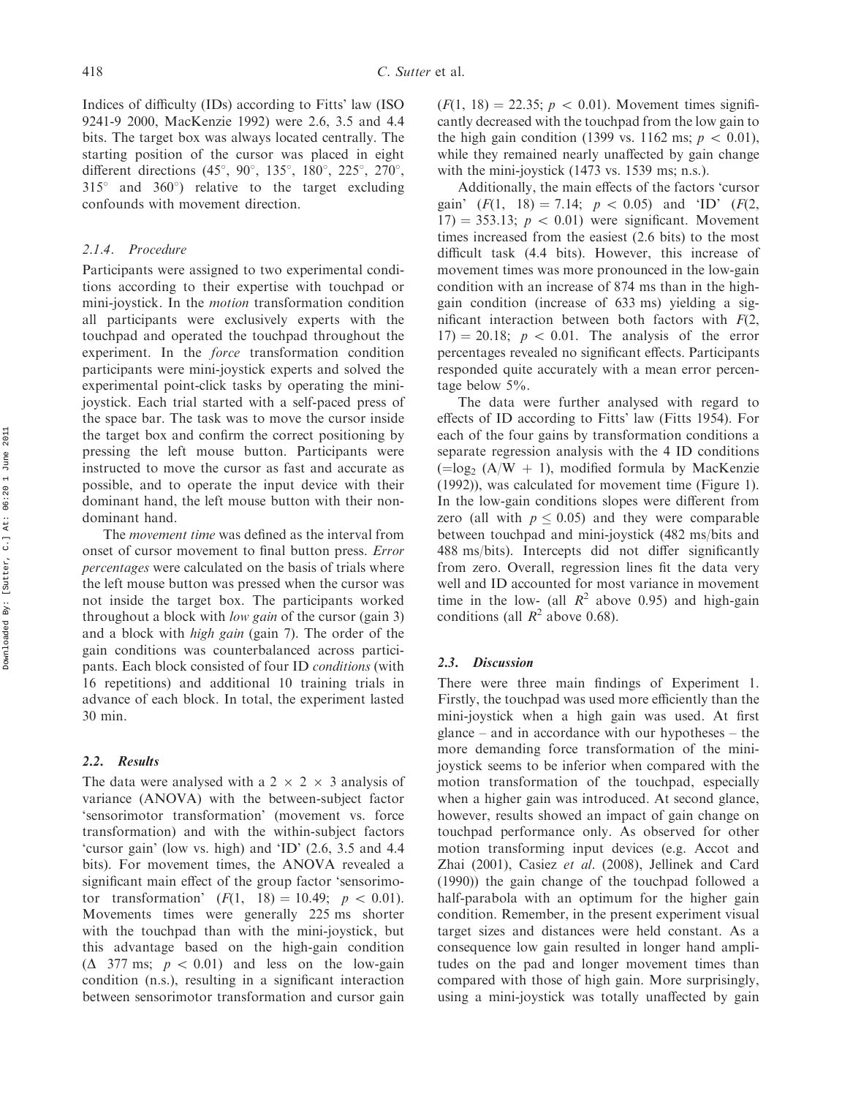Indices of difficulty (IDs) according to Fitts' law (ISO 9241-9 2000, MacKenzie 1992) were 2.6, 3.5 and 4.4 bits. The target box was always located centrally. The starting position of the cursor was placed in eight different directions (45 $^{\circ}$ , 90 $^{\circ}$ , 135 $^{\circ}$ , 180 $^{\circ}$ , 225 $^{\circ}$ , 270 $^{\circ}$ ,  $315^{\circ}$  and  $360^{\circ}$ ) relative to the target excluding confounds with movement direction.

# 2.1.4. Procedure

Participants were assigned to two experimental conditions according to their expertise with touchpad or mini-joystick. In the motion transformation condition all participants were exclusively experts with the touchpad and operated the touchpad throughout the experiment. In the *force* transformation condition participants were mini-joystick experts and solved the experimental point-click tasks by operating the minijoystick. Each trial started with a self-paced press of the space bar. The task was to move the cursor inside the target box and confirm the correct positioning by pressing the left mouse button. Participants were instructed to move the cursor as fast and accurate as possible, and to operate the input device with their dominant hand, the left mouse button with their nondominant hand.

The *movement time* was defined as the interval from onset of cursor movement to final button press. Error percentages were calculated on the basis of trials where the left mouse button was pressed when the cursor was not inside the target box. The participants worked throughout a block with low gain of the cursor (gain 3) and a block with high gain (gain 7). The order of the gain conditions was counterbalanced across participants. Each block consisted of four ID conditions (with 16 repetitions) and additional 10 training trials in advance of each block. In total, the experiment lasted 30 min.

# 2.2. Results

The data were analysed with a 2  $\times$  2  $\times$  3 analysis of variance (ANOVA) with the between-subject factor 'sensorimotor transformation' (movement vs. force transformation) and with the within-subject factors 'cursor gain' (low vs. high) and 'ID' (2.6, 3.5 and 4.4 bits). For movement times, the ANOVA revealed a significant main effect of the group factor 'sensorimotor transformation'  $(F(1, 18) = 10.49; p < 0.01)$ . Movements times were generally 225 ms shorter with the touchpad than with the mini-joystick, but this advantage based on the high-gain condition  $(\Delta$  377 ms;  $p < 0.01$ ) and less on the low-gain condition (n.s.), resulting in a significant interaction between sensorimotor transformation and cursor gain

 $(F(1, 18) = 22.35; p < 0.01)$ . Movement times significantly decreased with the touchpad from the low gain to the high gain condition (1399 vs. 1162 ms;  $p < 0.01$ ), while they remained nearly unaffected by gain change with the mini-joystick (1473 vs. 1539 ms; n.s.).

Additionally, the main effects of the factors 'cursor gain'  $(F(1, 18) = 7.14; p < 0.05)$  and 'ID'  $(F(2,$  $17$ ) = 353.13;  $p < 0.01$ ) were significant. Movement times increased from the easiest (2.6 bits) to the most difficult task (4.4 bits). However, this increase of movement times was more pronounced in the low-gain condition with an increase of 874 ms than in the highgain condition (increase of 633 ms) yielding a significant interaction between both factors with  $F(2)$ ,  $17$ ) = 20.18;  $p < 0.01$ . The analysis of the error percentages revealed no significant effects. Participants responded quite accurately with a mean error percentage below 5%.

The data were further analysed with regard to effects of ID according to Fitts' law (Fitts 1954). For each of the four gains by transformation conditions a separate regression analysis with the 4 ID conditions  $(=\log_2 (A/W + 1)$ , modified formula by MacKenzie (1992)), was calculated for movement time (Figure 1). In the low-gain conditions slopes were different from zero (all with  $p \leq 0.05$ ) and they were comparable between touchpad and mini-joystick (482 ms/bits and 488 ms/bits). Intercepts did not differ significantly from zero. Overall, regression lines fit the data very well and ID accounted for most variance in movement time in the low- (all  $R^2$  above 0.95) and high-gain conditions (all  $R^2$  above 0.68).

## 2.3. Discussion

There were three main findings of Experiment 1. Firstly, the touchpad was used more efficiently than the mini-joystick when a high gain was used. At first glance – and in accordance with our hypotheses – the more demanding force transformation of the minijoystick seems to be inferior when compared with the motion transformation of the touchpad, especially when a higher gain was introduced. At second glance, however, results showed an impact of gain change on touchpad performance only. As observed for other motion transforming input devices (e.g. Accot and Zhai (2001), Casiez et al. (2008), Jellinek and Card (1990)) the gain change of the touchpad followed a half-parabola with an optimum for the higher gain condition. Remember, in the present experiment visual target sizes and distances were held constant. As a consequence low gain resulted in longer hand amplitudes on the pad and longer movement times than compared with those of high gain. More surprisingly, using a mini-joystick was totally unaffected by gain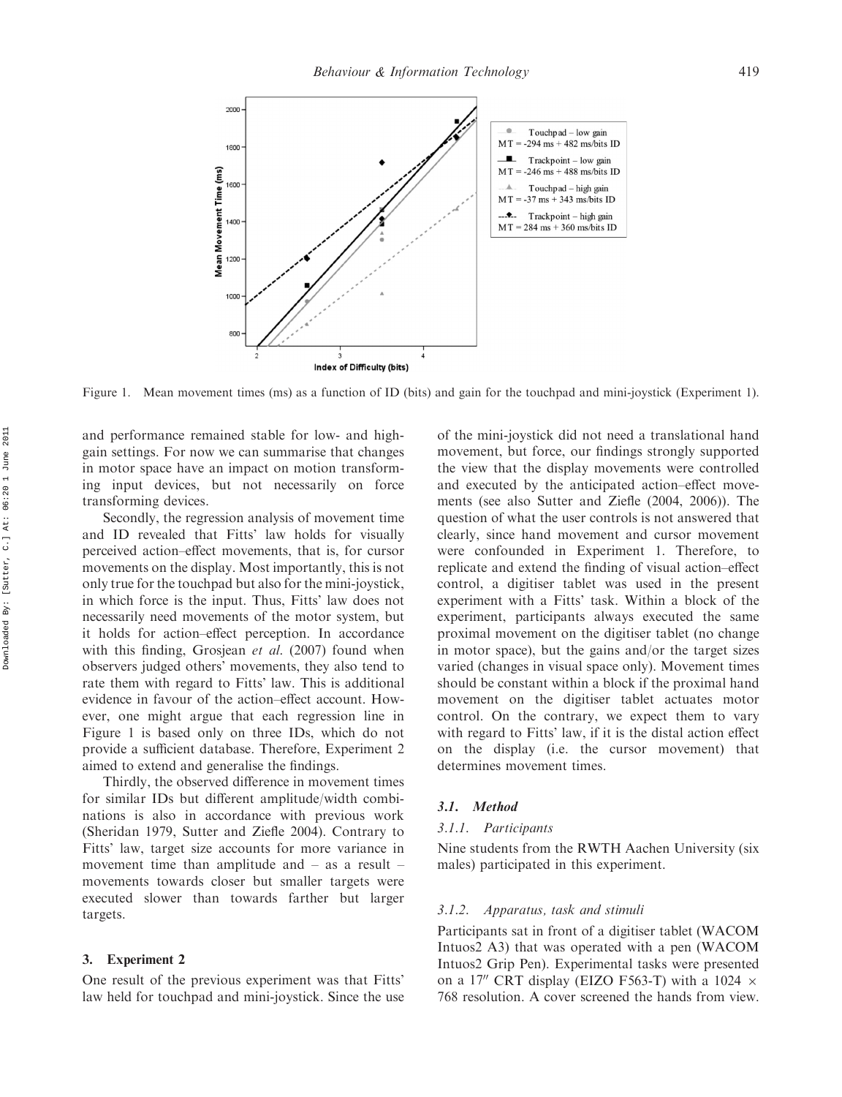

Figure 1. Mean movement times (ms) as a function of ID (bits) and gain for the touchpad and mini-joystick (Experiment 1).

and performance remained stable for low- and highgain settings. For now we can summarise that changes in motor space have an impact on motion transforming input devices, but not necessarily on force transforming devices.

Secondly, the regression analysis of movement time and ID revealed that Fitts' law holds for visually perceived action–effect movements, that is, for cursor movements on the display. Most importantly, this is not only true for the touchpad but also for the mini-joystick, in which force is the input. Thus, Fitts' law does not necessarily need movements of the motor system, but it holds for action–effect perception. In accordance with this finding, Grosjean *et al.* (2007) found when observers judged others' movements, they also tend to rate them with regard to Fitts' law. This is additional evidence in favour of the action–effect account. However, one might argue that each regression line in Figure 1 is based only on three IDs, which do not provide a sufficient database. Therefore, Experiment 2 aimed to extend and generalise the findings.

Thirdly, the observed difference in movement times for similar IDs but different amplitude/width combinations is also in accordance with previous work (Sheridan 1979, Sutter and Ziefle 2004). Contrary to Fitts' law, target size accounts for more variance in movement time than amplitude and – as a result – movements towards closer but smaller targets were executed slower than towards farther but larger targets.

#### 3. Experiment 2

One result of the previous experiment was that Fitts' law held for touchpad and mini-joystick. Since the use

of the mini-joystick did not need a translational hand movement, but force, our findings strongly supported the view that the display movements were controlled and executed by the anticipated action–effect movements (see also Sutter and Ziefle (2004, 2006)). The question of what the user controls is not answered that clearly, since hand movement and cursor movement were confounded in Experiment 1. Therefore, to replicate and extend the finding of visual action–effect control, a digitiser tablet was used in the present experiment with a Fitts' task. Within a block of the experiment, participants always executed the same proximal movement on the digitiser tablet (no change in motor space), but the gains and/or the target sizes varied (changes in visual space only). Movement times should be constant within a block if the proximal hand movement on the digitiser tablet actuates motor control. On the contrary, we expect them to vary with regard to Fitts' law, if it is the distal action effect on the display (i.e. the cursor movement) that determines movement times.

# 3.1. Method

#### 3.1.1. Participants

Nine students from the RWTH Aachen University (six males) participated in this experiment.

#### 3.1.2. Apparatus, task and stimuli

Participants sat in front of a digitiser tablet (WACOM Intuos2 A3) that was operated with a pen (WACOM Intuos2 Grip Pen). Experimental tasks were presented on a 17" CRT display (EIZO F563-T) with a 1024  $\times$ 768 resolution. A cover screened the hands from view.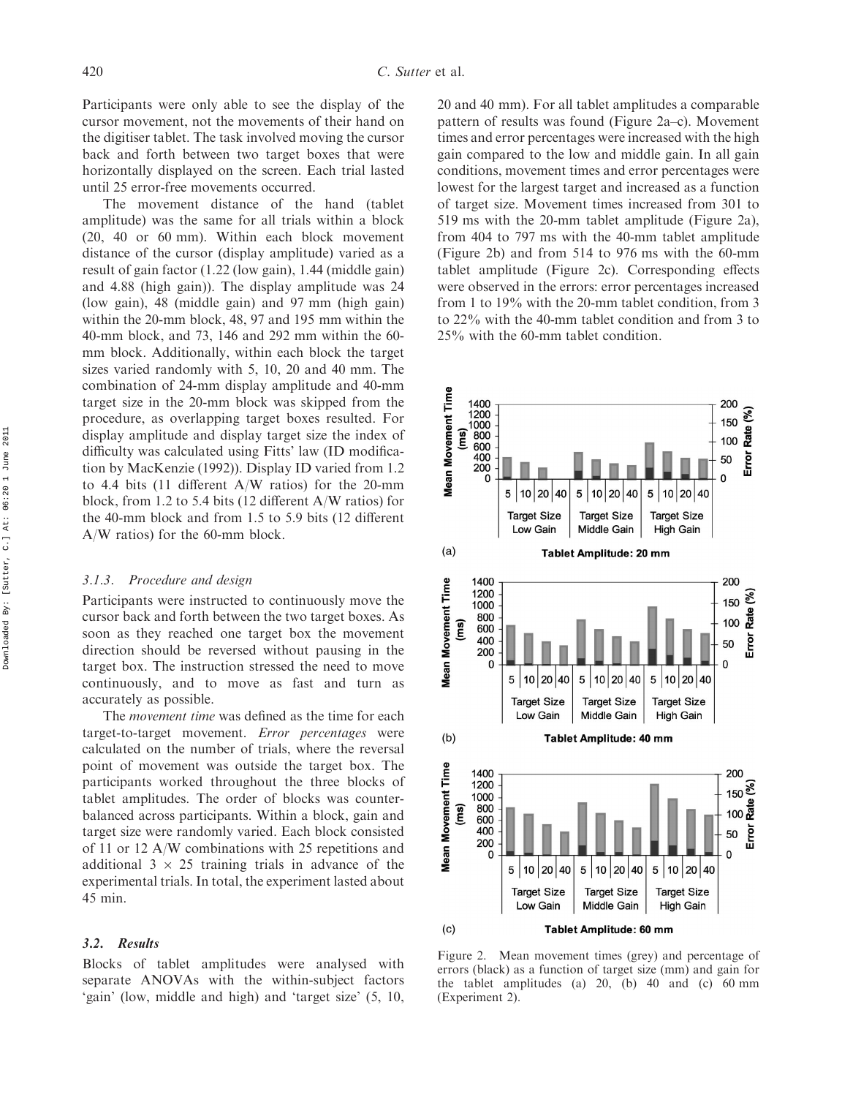Participants were only able to see the display of the cursor movement, not the movements of their hand on the digitiser tablet. The task involved moving the cursor back and forth between two target boxes that were horizontally displayed on the screen. Each trial lasted until 25 error-free movements occurred.

The movement distance of the hand (tablet amplitude) was the same for all trials within a block (20, 40 or 60 mm). Within each block movement distance of the cursor (display amplitude) varied as a result of gain factor (1.22 (low gain), 1.44 (middle gain) and 4.88 (high gain)). The display amplitude was 24 (low gain), 48 (middle gain) and 97 mm (high gain) within the 20-mm block, 48, 97 and 195 mm within the 40-mm block, and 73, 146 and 292 mm within the 60 mm block. Additionally, within each block the target sizes varied randomly with 5, 10, 20 and 40 mm. The combination of 24-mm display amplitude and 40-mm target size in the 20-mm block was skipped from the procedure, as overlapping target boxes resulted. For display amplitude and display target size the index of difficulty was calculated using Fitts' law (ID modification by MacKenzie (1992)). Display ID varied from 1.2 to 4.4 bits (11 different A/W ratios) for the 20-mm block, from 1.2 to 5.4 bits (12 different A/W ratios) for the 40-mm block and from 1.5 to 5.9 bits (12 different A/W ratios) for the 60-mm block.

#### 3.1.3. Procedure and design

Participants were instructed to continuously move the cursor back and forth between the two target boxes. As soon as they reached one target box the movement direction should be reversed without pausing in the target box. The instruction stressed the need to move continuously, and to move as fast and turn as accurately as possible.

The *movement time* was defined as the time for each target-to-target movement. Error percentages were calculated on the number of trials, where the reversal point of movement was outside the target box. The participants worked throughout the three blocks of tablet amplitudes. The order of blocks was counterbalanced across participants. Within a block, gain and target size were randomly varied. Each block consisted of 11 or 12 A/W combinations with 25 repetitions and additional  $3 \times 25$  training trials in advance of the experimental trials. In total, the experiment lasted about 45 min.

## 3.2. Results

Blocks of tablet amplitudes were analysed with separate ANOVAs with the within-subject factors 'gain' (low, middle and high) and 'target size' (5, 10,

20 and 40 mm). For all tablet amplitudes a comparable pattern of results was found (Figure 2a–c). Movement times and error percentages were increased with the high gain compared to the low and middle gain. In all gain conditions, movement times and error percentages were lowest for the largest target and increased as a function of target size. Movement times increased from 301 to 519 ms with the 20-mm tablet amplitude (Figure 2a), from 404 to 797 ms with the 40-mm tablet amplitude (Figure 2b) and from 514 to 976 ms with the 60-mm tablet amplitude (Figure 2c). Corresponding effects were observed in the errors: error percentages increased from 1 to 19% with the 20-mm tablet condition, from 3 to 22% with the 40-mm tablet condition and from 3 to 25% with the 60-mm tablet condition.



Figure 2. Mean movement times (grey) and percentage of errors (black) as a function of target size (mm) and gain for the tablet amplitudes (a) 20, (b) 40 and (c) 60 mm (Experiment 2).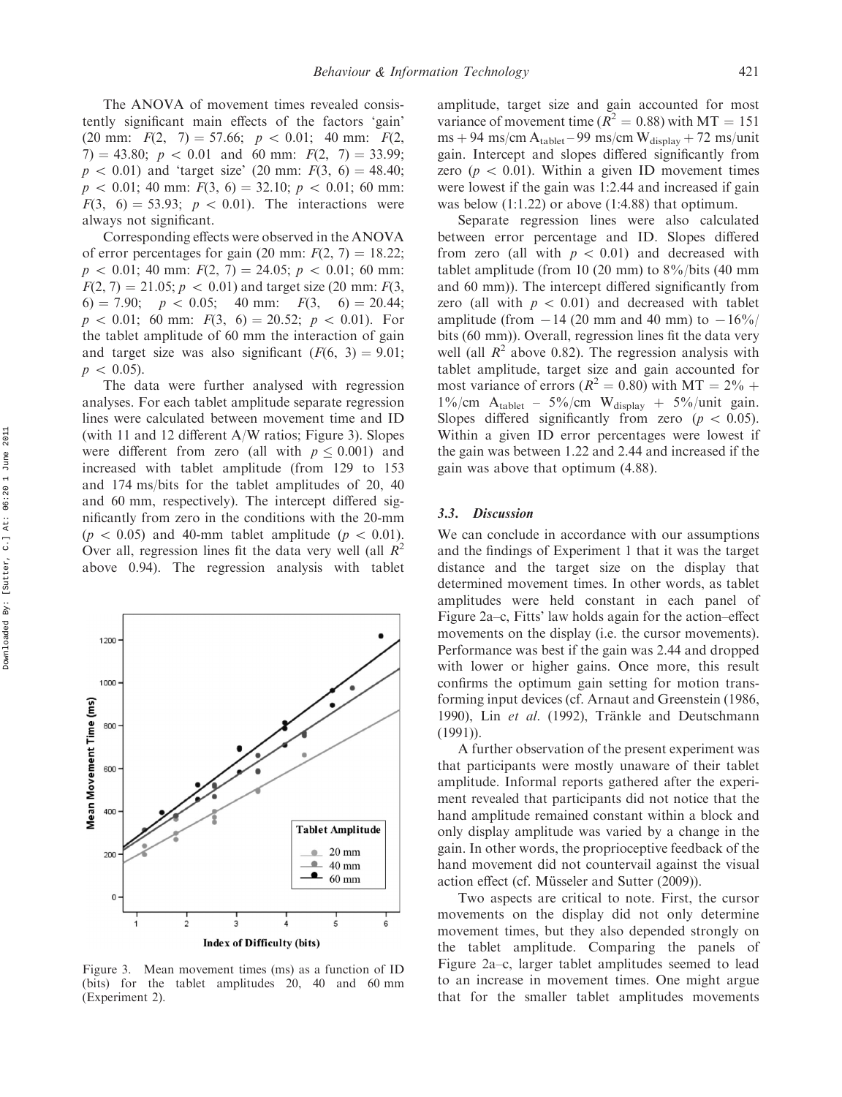The ANOVA of movement times revealed consistently significant main effects of the factors 'gain' (20 mm:  $F(2, 7) = 57.66$ ;  $p < 0.01$ ; 40 mm:  $F(2, 7) = 57.66$ ;  $p < 0.01$ ; 40 mm:  $7) = 43.80; p < 0.01$  and 60 mm:  $F(2, 7) = 33.99;$  $p < 0.01$ ) and 'target size' (20 mm:  $F(3, 6) = 48.40$ ;  $p < 0.01$ ; 40 mm:  $F(3, 6) = 32.10$ ;  $p < 0.01$ ; 60 mm:  $F(3, 6) = 53.93; p < 0.01$ . The interactions were always not significant.

Corresponding effects were observed in the ANOVA of error percentages for gain (20 mm:  $F(2, 7) = 18.22$ ;  $p < 0.01$ ; 40 mm:  $F(2, 7) = 24.05$ ;  $p < 0.01$ ; 60 mm:  $F(2, 7) = 21.05$ ;  $p < 0.01$ ) and target size (20 mm:  $F(3, 7)$ 6)  $= 7.90$ ;  $p < 0.05$ ; 40 mm:  $F(3, 6) = 20.44$ ;  $p < 0.01$ ; 60 mm:  $F(3, 6) = 20.52$ ;  $p < 0.01$ ). For the tablet amplitude of 60 mm the interaction of gain and target size was also significant  $(F(6, 3) = 9.01;$  $p < 0.05$ ).

The data were further analysed with regression analyses. For each tablet amplitude separate regression lines were calculated between movement time and ID (with 11 and 12 different A/W ratios; Figure 3). Slopes were different from zero (all with  $p \leq 0.001$ ) and increased with tablet amplitude (from 129 to 153 and 174 ms/bits for the tablet amplitudes of 20, 40 and 60 mm, respectively). The intercept differed significantly from zero in the conditions with the 20-mm  $(p < 0.05)$  and 40-mm tablet amplitude  $(p < 0.01)$ . Over all, regression lines fit the data very well (all  $R^2$ ) above 0.94). The regression analysis with tablet



Figure 3. Mean movement times (ms) as a function of ID (bits) for the tablet amplitudes 20, 40 and 60 mm (Experiment 2).

amplitude, target size and gain accounted for most variance of movement time ( $R^2 = 0.88$ ) with MT = 151  $ms + 94$  ms/cm  $A_{tablet} - 99$  ms/cm  $W_{display} + 72$  ms/unit gain. Intercept and slopes differed significantly from zero ( $p < 0.01$ ). Within a given ID movement times were lowest if the gain was 1:2.44 and increased if gain was below  $(1:1.22)$  or above  $(1:4.88)$  that optimum.

Separate regression lines were also calculated between error percentage and ID. Slopes differed from zero (all with  $p < 0.01$ ) and decreased with tablet amplitude (from 10 (20 mm) to  $8\frac{\frac{9}{6}}{bits}$  (40 mm) and 60 mm)). The intercept differed significantly from zero (all with  $p < 0.01$ ) and decreased with tablet amplitude (from  $-14$  (20 mm and 40 mm) to  $-16\%$ bits (60 mm)). Overall, regression lines fit the data very well (all  $R^2$  above 0.82). The regression analysis with tablet amplitude, target size and gain accounted for most variance of errors ( $R^2 = 0.80$ ) with MT = 2% +  $1\%$ /cm A<sub>tablet</sub> – 5%/cm W<sub>display</sub> + 5%/unit gain. Slopes differed significantly from zero ( $p < 0.05$ ). Within a given ID error percentages were lowest if the gain was between 1.22 and 2.44 and increased if the gain was above that optimum (4.88).

## 3.3. Discussion

We can conclude in accordance with our assumptions and the findings of Experiment 1 that it was the target distance and the target size on the display that determined movement times. In other words, as tablet amplitudes were held constant in each panel of Figure 2a–c, Fitts' law holds again for the action–effect movements on the display (i.e. the cursor movements). Performance was best if the gain was 2.44 and dropped with lower or higher gains. Once more, this result confirms the optimum gain setting for motion transforming input devices (cf. Arnaut and Greenstein (1986, 1990), Lin et al. (1992), Tränkle and Deutschmann (1991)).

A further observation of the present experiment was that participants were mostly unaware of their tablet amplitude. Informal reports gathered after the experiment revealed that participants did not notice that the hand amplitude remained constant within a block and only display amplitude was varied by a change in the gain. In other words, the proprioceptive feedback of the hand movement did not countervail against the visual action effect (cf. Müsseler and Sutter (2009)).

Two aspects are critical to note. First, the cursor movements on the display did not only determine movement times, but they also depended strongly on the tablet amplitude. Comparing the panels of Figure 2a–c, larger tablet amplitudes seemed to lead to an increase in movement times. One might argue that for the smaller tablet amplitudes movements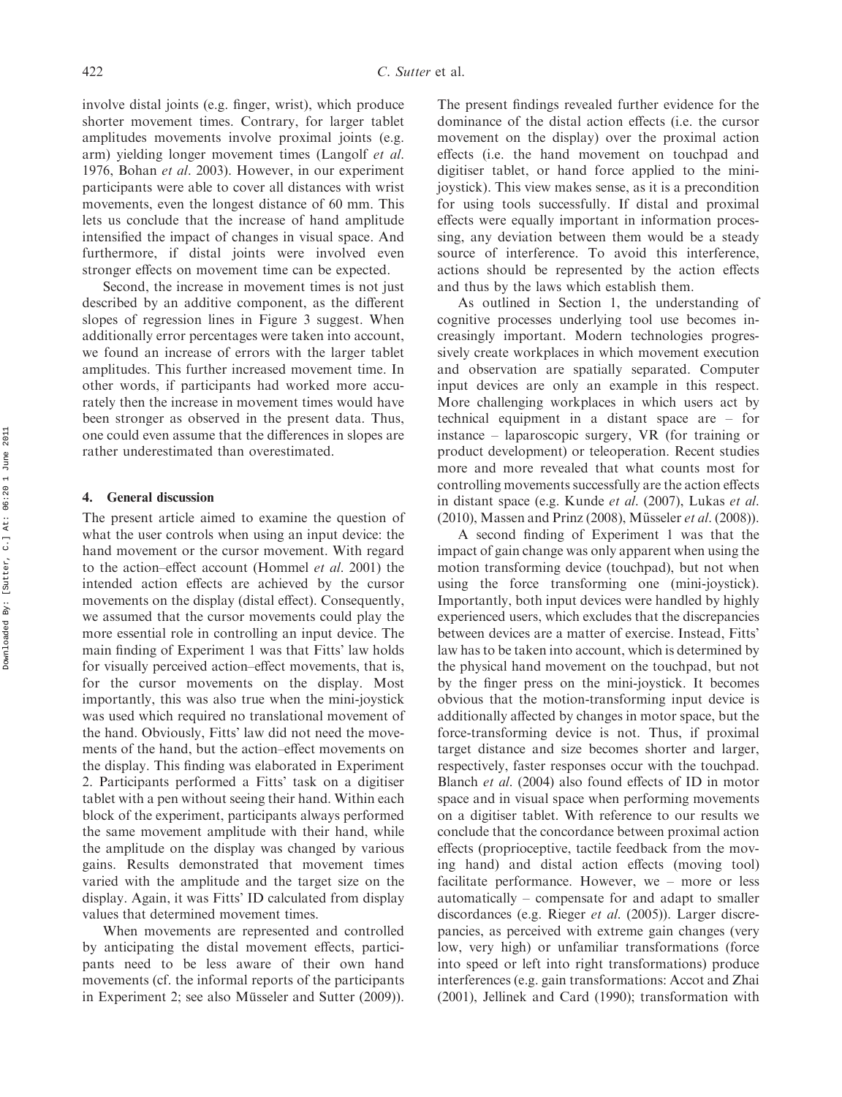involve distal joints (e.g. finger, wrist), which produce shorter movement times. Contrary, for larger tablet amplitudes movements involve proximal joints (e.g. arm) yielding longer movement times (Langolf et al. 1976, Bohan et al. 2003). However, in our experiment participants were able to cover all distances with wrist movements, even the longest distance of 60 mm. This lets us conclude that the increase of hand amplitude intensified the impact of changes in visual space. And furthermore, if distal joints were involved even stronger effects on movement time can be expected.

Second, the increase in movement times is not just described by an additive component, as the different slopes of regression lines in Figure 3 suggest. When additionally error percentages were taken into account, we found an increase of errors with the larger tablet amplitudes. This further increased movement time. In other words, if participants had worked more accurately then the increase in movement times would have been stronger as observed in the present data. Thus, one could even assume that the differences in slopes are rather underestimated than overestimated.

#### 4. General discussion

The present article aimed to examine the question of what the user controls when using an input device: the hand movement or the cursor movement. With regard to the action–effect account (Hommel et al. 2001) the intended action effects are achieved by the cursor movements on the display (distal effect). Consequently, we assumed that the cursor movements could play the more essential role in controlling an input device. The main finding of Experiment 1 was that Fitts' law holds for visually perceived action–effect movements, that is, for the cursor movements on the display. Most importantly, this was also true when the mini-joystick was used which required no translational movement of the hand. Obviously, Fitts' law did not need the movements of the hand, but the action–effect movements on the display. This finding was elaborated in Experiment 2. Participants performed a Fitts' task on a digitiser tablet with a pen without seeing their hand. Within each block of the experiment, participants always performed the same movement amplitude with their hand, while the amplitude on the display was changed by various gains. Results demonstrated that movement times varied with the amplitude and the target size on the display. Again, it was Fitts' ID calculated from display values that determined movement times.

When movements are represented and controlled by anticipating the distal movement effects, participants need to be less aware of their own hand movements (cf. the informal reports of the participants in Experiment 2; see also Müsseler and Sutter  $(2009)$ ).

The present findings revealed further evidence for the dominance of the distal action effects (i.e. the cursor movement on the display) over the proximal action effects (i.e. the hand movement on touchpad and digitiser tablet, or hand force applied to the minijoystick). This view makes sense, as it is a precondition for using tools successfully. If distal and proximal effects were equally important in information processing, any deviation between them would be a steady source of interference. To avoid this interference, actions should be represented by the action effects and thus by the laws which establish them.

As outlined in Section 1, the understanding of cognitive processes underlying tool use becomes increasingly important. Modern technologies progressively create workplaces in which movement execution and observation are spatially separated. Computer input devices are only an example in this respect. More challenging workplaces in which users act by technical equipment in a distant space are – for instance – laparoscopic surgery, VR (for training or product development) or teleoperation. Recent studies more and more revealed that what counts most for controlling movements successfully are the action effects in distant space (e.g. Kunde et al. (2007), Lukas et al. (2010), Massen and Prinz (2008), Müsseler et al. (2008)).

A second finding of Experiment 1 was that the impact of gain change was only apparent when using the motion transforming device (touchpad), but not when using the force transforming one (mini-joystick). Importantly, both input devices were handled by highly experienced users, which excludes that the discrepancies between devices are a matter of exercise. Instead, Fitts' law has to be taken into account, which is determined by the physical hand movement on the touchpad, but not by the finger press on the mini-joystick. It becomes obvious that the motion-transforming input device is additionally affected by changes in motor space, but the force-transforming device is not. Thus, if proximal target distance and size becomes shorter and larger, respectively, faster responses occur with the touchpad. Blanch et al. (2004) also found effects of ID in motor space and in visual space when performing movements on a digitiser tablet. With reference to our results we conclude that the concordance between proximal action effects (proprioceptive, tactile feedback from the moving hand) and distal action effects (moving tool) facilitate performance. However, we – more or less automatically – compensate for and adapt to smaller discordances (e.g. Rieger *et al.* (2005)). Larger discrepancies, as perceived with extreme gain changes (very low, very high) or unfamiliar transformations (force into speed or left into right transformations) produce interferences (e.g. gain transformations: Accot and Zhai (2001), Jellinek and Card (1990); transformation with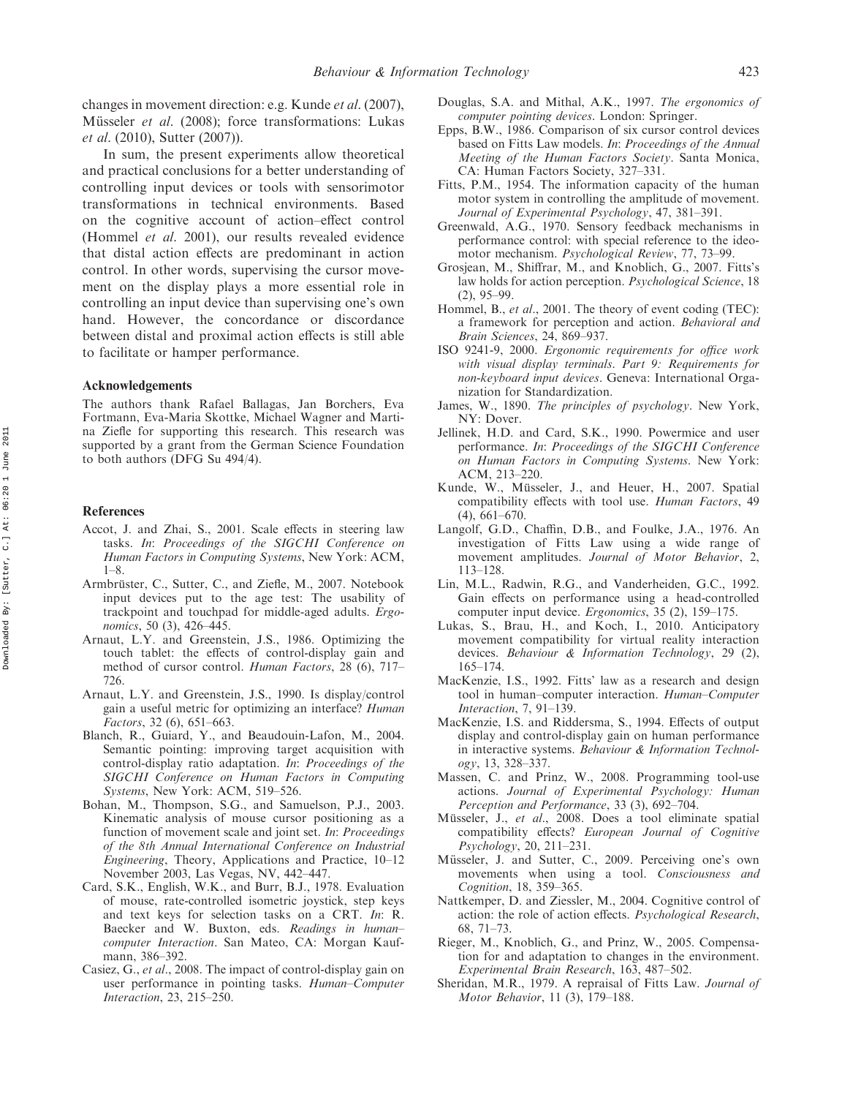changes in movement direction: e.g. Kunde et al. (2007), Müsseler et al. (2008); force transformations: Lukas et al. (2010), Sutter (2007)).

In sum, the present experiments allow theoretical and practical conclusions for a better understanding of controlling input devices or tools with sensorimotor transformations in technical environments. Based on the cognitive account of action–effect control (Hommel et al. 2001), our results revealed evidence that distal action effects are predominant in action control. In other words, supervising the cursor movement on the display plays a more essential role in controlling an input device than supervising one's own hand. However, the concordance or discordance between distal and proximal action effects is still able to facilitate or hamper performance.

#### Acknowledgements

The authors thank Rafael Ballagas, Jan Borchers, Eva Fortmann, Eva-Maria Skottke, Michael Wagner and Martina Ziefle for supporting this research. This research was supported by a grant from the German Science Foundation to both authors (DFG Su 494/4).

#### References

- Accot, J. and Zhai, S., 2001. Scale effects in steering law tasks. In: Proceedings of the SIGCHI Conference on Human Factors in Computing Systems, New York: ACM, 1–8.
- Armbrüster, C., Sutter, C., and Ziefle, M., 2007. Notebook input devices put to the age test: The usability of trackpoint and touchpad for middle-aged adults. Ergonomics, 50 (3), 426–445.
- Arnaut, L.Y. and Greenstein, J.S., 1986. Optimizing the touch tablet: the effects of control-display gain and method of cursor control. Human Factors, 28 (6), 717– 726.
- Arnaut, L.Y. and Greenstein, J.S., 1990. Is display/control gain a useful metric for optimizing an interface? Human Factors, 32 (6), 651–663.
- Blanch, R., Guiard, Y., and Beaudouin-Lafon, M., 2004. Semantic pointing: improving target acquisition with control-display ratio adaptation. In: Proceedings of the SIGCHI Conference on Human Factors in Computing Systems, New York: ACM, 519–526.
- Bohan, M., Thompson, S.G., and Samuelson, P.J., 2003. Kinematic analysis of mouse cursor positioning as a function of movement scale and joint set. In: Proceedings of the 8th Annual International Conference on Industrial Engineering, Theory, Applications and Practice, 10–12 November 2003, Las Vegas, NV, 442–447.
- Card, S.K., English, W.K., and Burr, B.J., 1978. Evaluation of mouse, rate-controlled isometric joystick, step keys and text keys for selection tasks on a CRT. In: R. Baecker and W. Buxton, eds. Readings in human– computer Interaction. San Mateo, CA: Morgan Kaufmann, 386–392.
- Casiez, G., et al., 2008. The impact of control-display gain on user performance in pointing tasks. Human–Computer Interaction, 23, 215–250.
- Douglas, S.A. and Mithal, A.K., 1997. The ergonomics of computer pointing devices. London: Springer.
- Epps, B.W., 1986. Comparison of six cursor control devices based on Fitts Law models. In: Proceedings of the Annual Meeting of the Human Factors Society. Santa Monica, CA: Human Factors Society, 327–331.
- Fitts, P.M., 1954. The information capacity of the human motor system in controlling the amplitude of movement. Journal of Experimental Psychology, 47, 381–391.
- Greenwald, A.G., 1970. Sensory feedback mechanisms in performance control: with special reference to the ideomotor mechanism. Psychological Review, 77, 73–99.
- Grosjean, M., Shiffrar, M., and Knoblich, G., 2007. Fitts's law holds for action perception. Psychological Science, 18 (2), 95–99.
- Hommel, B., et al., 2001. The theory of event coding (TEC): a framework for perception and action. Behavioral and Brain Sciences, 24, 869–937.
- ISO 9241-9, 2000. Ergonomic requirements for office work with visual display terminals. Part 9: Requirements for non-keyboard input devices. Geneva: International Organization for Standardization.
- James, W., 1890. The principles of psychology. New York, NY: Dover.
- Jellinek, H.D. and Card, S.K., 1990. Powermice and user performance. In: Proceedings of the SIGCHI Conference on Human Factors in Computing Systems. New York: ACM, 213–220.
- Kunde, W., Müsseler, J., and Heuer, H., 2007. Spatial compatibility effects with tool use. Human Factors, 49 (4), 661–670.
- Langolf, G.D., Chaffin, D.B., and Foulke, J.A., 1976. An investigation of Fitts Law using a wide range of movement amplitudes. Journal of Motor Behavior, 2, 113–128.
- Lin, M.L., Radwin, R.G., and Vanderheiden, G.C., 1992. Gain effects on performance using a head-controlled computer input device. Ergonomics, 35 (2), 159–175.
- Lukas, S., Brau, H., and Koch, I., 2010. Anticipatory movement compatibility for virtual reality interaction devices. Behaviour & Information Technology, 29 (2), 165–174.
- MacKenzie, I.S., 1992. Fitts' law as a research and design tool in human–computer interaction. Human–Computer Interaction, 7, 91–139.
- MacKenzie, I.S. and Riddersma, S., 1994. Effects of output display and control-display gain on human performance in interactive systems. Behaviour & Information Technology, 13, 328–337.
- Massen, C. and Prinz, W., 2008. Programming tool-use actions. Journal of Experimental Psychology: Human Perception and Performance, 33 (3), 692–704.
- Müsseler, J., et al., 2008. Does a tool eliminate spatial compatibility effects? European Journal of Cognitive Psychology, 20, 211–231.
- Müsseler, J. and Sutter, C., 2009. Perceiving one's own movements when using a tool. Consciousness and Cognition, 18, 359–365.
- Nattkemper, D. and Ziessler, M., 2004. Cognitive control of action: the role of action effects. Psychological Research, 68, 71–73.
- Rieger, M., Knoblich, G., and Prinz, W., 2005. Compensation for and adaptation to changes in the environment. Experimental Brain Research, 163, 487–502.
- Sheridan, M.R., 1979. A repraisal of Fitts Law. Journal of Motor Behavior, 11 (3), 179–188.